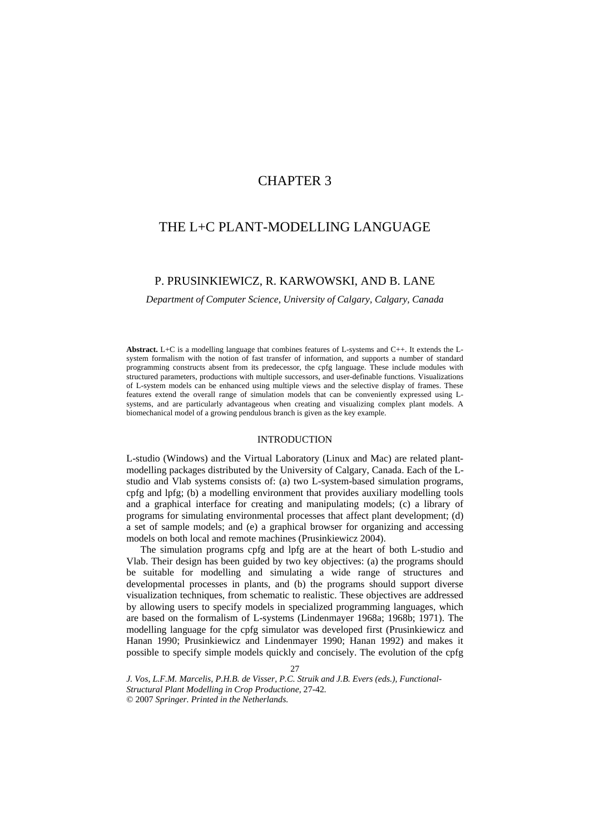# CHAPTER 3

# THE L+C PLANT-MODELLING LANGUAGE

# P. PRUSINKIEWICZ, R. KARWOWSKI, AND B. LANE

*Department of Computer Science, University of Calgary, Calgary, Canada* 

**Abstract.** L+C is a modelling language that combines features of L-systems and C++. It extends the Lsystem formalism with the notion of fast transfer of information, and supports a number of standard programming constructs absent from its predecessor, the cpfg language. These include modules with structured parameters, productions with multiple successors, and user-definable functions. Visualizations of L-system models can be enhanced using multiple views and the selective display of frames. These features extend the overall range of simulation models that can be conveniently expressed using Lsystems, and are particularly advantageous when creating and visualizing complex plant models. A biomechanical model of a growing pendulous branch is given as the key example.

#### INTRODUCTION

L-studio (Windows) and the Virtual Laboratory (Linux and Mac) are related plantmodelling packages distributed by the University of Calgary, Canada. Each of the Lstudio and Vlab systems consists of: (a) two L-system-based simulation programs, cpfg and lpfg; (b) a modelling environment that provides auxiliary modelling tools and a graphical interface for creating and manipulating models; (c) a library of programs for simulating environmental processes that affect plant development; (d) a set of sample models; and (e) a graphical browser for organizing and accessing models on both local and remote machines (Prusinkiewicz 2004).

The simulation programs cpfg and lpfg are at the heart of both L-studio and Vlab. Their design has been guided by two key objectives: (a) the programs should be suitable for modelling and simulating a wide range of structures and developmental processes in plants, and (b) the programs should support diverse visualization techniques, from schematic to realistic. These objectives are addressed by allowing users to specify models in specialized programming languages, which are based on the formalism of L-systems (Lindenmayer 1968a; 1968b; 1971). The modelling language for the cpfg simulator was developed first (Prusinkiewicz and Hanan 1990; Prusinkiewicz and Lindenmayer 1990; Hanan 1992) and makes it possible to specify simple models quickly and concisely. The evolution of the cpfg

 27 *J. Vos, L.F.M. Marcelis, P.H.B. de Visser, P.C. Struik and J.B. Evers (eds.), Functional-Structural Plant Modelling in Crop Productione*, 27-42*.* © 2007 *Springer. Printed in the Netherlands.*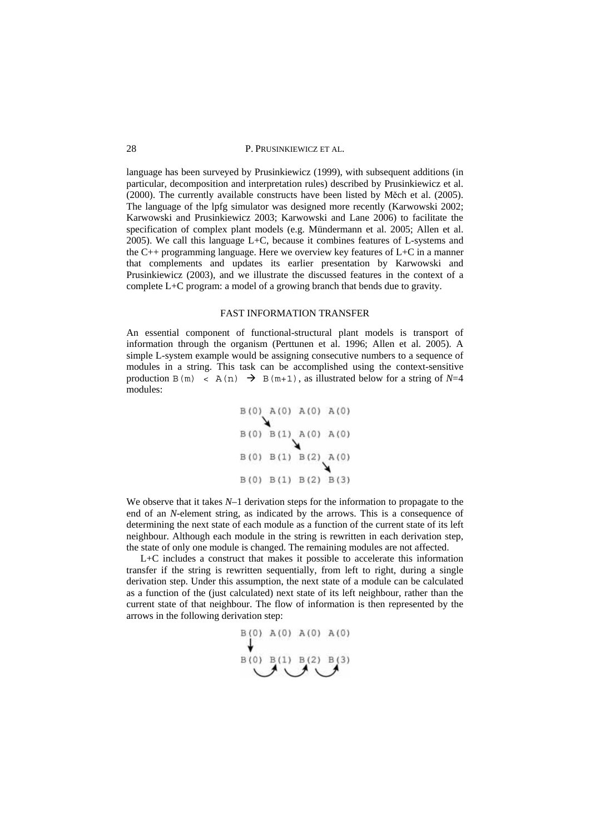language has been surveyed by Prusinkiewicz (1999), with subsequent additions (in particular, decomposition and interpretation rules) described by Prusinkiewicz et al.  $(2000)$ . The currently available constructs have been listed by Měch et al.  $(2005)$ . The language of the lpfg simulator was designed more recently (Karwowski 2002; Karwowski and Prusinkiewicz 2003; Karwowski and Lane 2006) to facilitate the specification of complex plant models (e.g. Mündermann et al. 2005; Allen et al. 2005). We call this language L+C, because it combines features of L-systems and the C++ programming language. Here we overview key features of L+C in a manner that complements and updates its earlier presentation by Karwowski and Prusinkiewicz (2003), and we illustrate the discussed features in the context of a complete L+C program: a model of a growing branch that bends due to gravity.

#### FAST INFORMATION TRANSFER

An essential component of functional-structural plant models is transport of information through the organism (Perttunen et al. 1996; Allen et al. 2005). A simple L-system example would be assigning consecutive numbers to a sequence of modules in a string. This task can be accomplished using the context-sensitive production B(m) < A(n)  $\rightarrow$  B(m+1), as illustrated below for a string of N=4 modules:

$$
B(0) A(0) A(0) A(0)
$$
  
\n
$$
B(0) B(1) A(0) A(0)
$$
  
\n
$$
B(0) B(1) B(2) A(0)
$$
  
\n
$$
B(0) B(1) B(2) B(3)
$$

We observe that it takes *N*–1 derivation steps for the information to propagate to the end of an *N*-element string, as indicated by the arrows. This is a consequence of determining the next state of each module as a function of the current state of its left neighbour. Although each module in the string is rewritten in each derivation step, the state of only one module is changed. The remaining modules are not affected.

L+C includes a construct that makes it possible to accelerate this information transfer if the string is rewritten sequentially, from left to right, during a single derivation step. Under this assumption, the next state of a module can be calculated as a function of the (just calculated) next state of its left neighbour, rather than the current state of that neighbour. The flow of information is then represented by the arrows in the following derivation step:

$$
\begin{array}{c}\n\text{B(0)} \text{A(0)} \text{A(0)} \text{A(0)} \\
\downarrow \\
\text{B(0)} \text{B(1)} \text{B(2)} \text{B(3)}\n\end{array}
$$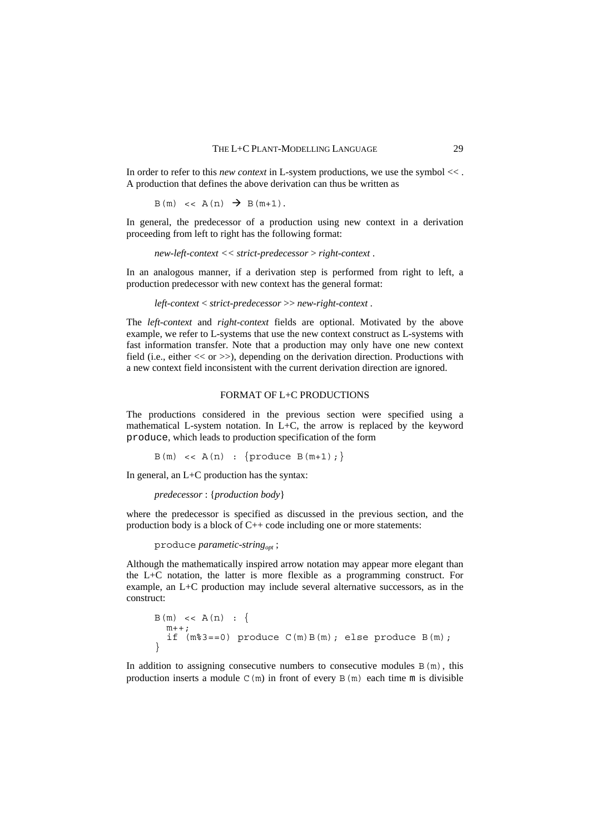In order to refer to this *new context* in L-system productions, we use the symbol << . A production that defines the above derivation can thus be written as

$$
B(m) \leq A(n) \Rightarrow B(m+1).
$$

In general, the predecessor of a production using new context in a derivation proceeding from left to right has the following format:

```
new-left-context << strict-predecessor > right-context .
```
In an analogous manner, if a derivation step is performed from right to left, a production predecessor with new context has the general format:

*left-context* < *strict-predecessor* >> *new-right-context* .

The *left-context* and *right-context* fields are optional. Motivated by the above example, we refer to L-systems that use the new context construct as L-systems with fast information transfer. Note that a production may only have one new context field (i.e., either << or >>), depending on the derivation direction. Productions with a new context field inconsistent with the current derivation direction are ignored.

# FORMAT OF L+C PRODUCTIONS

The productions considered in the previous section were specified using a mathematical L-system notation. In L+C, the arrow is replaced by the keyword produce, which leads to production specification of the form

 $B(m) \leq A(n) : \{$ produce  $B(m+1);$ 

In general, an L+C production has the syntax:

```
predecessor : {production body}
```
where the predecessor is specified as discussed in the previous section, and the production body is a block of C++ code including one or more statements:

produce *parametic-string<sub>opt</sub>*;

Although the mathematically inspired arrow notation may appear more elegant than the L+C notation, the latter is more flexible as a programming construct. For example, an L+C production may include several alternative successors, as in the construct:

```
\text{B (m)} \  \, << \,\, \text{A (n)} \  \, : \  \, \{\,\,m++; if (m%3==0) produce C(m)B(m); else produce B(m);
}
```
In addition to assigning consecutive numbers to consecutive modules  $B(m)$ , this production inserts a module  $C(m)$  in front of every  $B(m)$  each time m is divisible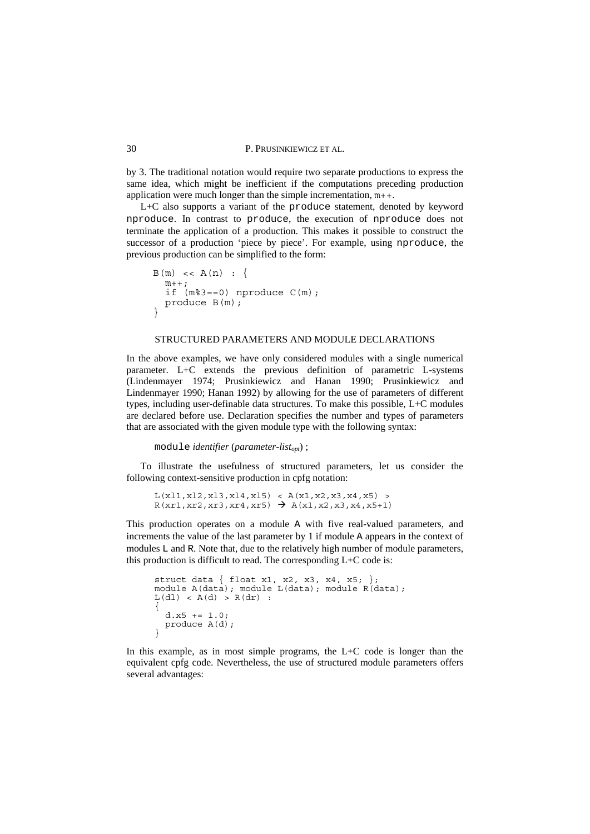by 3. The traditional notation would require two separate productions to express the same idea, which might be inefficient if the computations preceding production application were much longer than the simple incrementation, m++.

L+C also supports a variant of the produce statement, denoted by keyword nproduce. In contrast to produce, the execution of nproduce does not terminate the application of a production. This makes it possible to construct the successor of a production 'piece by piece'. For example, using nproduce, the previous production can be simplified to the form:

```
B(m) \leq A(n) :m++;if (m\text{m} = 0) nproduce C(m);
  produce B(m);
}
```
#### STRUCTURED PARAMETERS AND MODULE DECLARATIONS

In the above examples, we have only considered modules with a single numerical parameter. L+C extends the previous definition of parametric L-systems (Lindenmayer 1974; Prusinkiewicz and Hanan 1990; Prusinkiewicz and Lindenmayer 1990; Hanan 1992) by allowing for the use of parameters of different types, including user-definable data structures. To make this possible, L+C modules are declared before use. Declaration specifies the number and types of parameters that are associated with the given module type with the following syntax:

module *identifier* (*parameter-list<sub>opt</sub>*);

To illustrate the usefulness of structured parameters, let us consider the following context-sensitive production in cpfg notation:

```
L(x11, x12, x13, x14, x15) < A(x1, x2, x3, x4, x5) >R(xr1, xr2, xr3, xr4, xr5) \rightarrow A(x1, x2, x3, x4, x5+1)
```
This production operates on a module A with five real-valued parameters, and increments the value of the last parameter by 1 if module A appears in the context of modules L and R. Note that, due to the relatively high number of module parameters, this production is difficult to read. The corresponding L+C code is:

```
struct data { float x1, x2, x3, x4, x5; }; 
module A(data); module L(data); module R(data); 
L(d1) < A(d) > R(dr):
{
 d.x5 += 1.0:
  produce A(d); 
}
```
In this example, as in most simple programs, the L+C code is longer than the equivalent cpfg code. Nevertheless, the use of structured module parameters offers several advantages: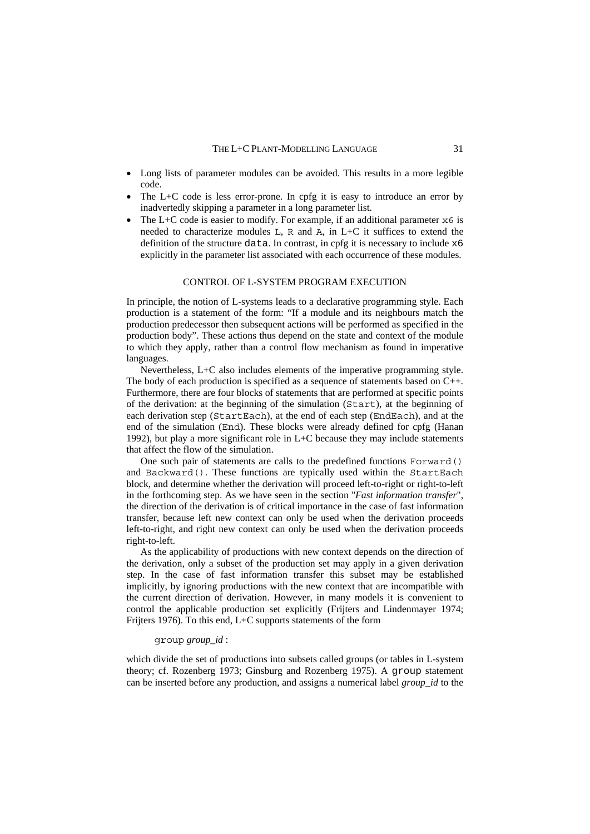- Long lists of parameter modules can be avoided. This results in a more legible code.
- The  $L+C$  code is less error-prone. In cpfg it is easy to introduce an error by inadvertedly skipping a parameter in a long parameter list.
- The L+C code is easier to modify. For example, if an additional parameter  $x6$  is needed to characterize modules L, R and A, in L+C it suffices to extend the definition of the structure data. In contrast, in cpfg it is necessary to include x6 explicitly in the parameter list associated with each occurrence of these modules.

#### CONTROL OF L-SYSTEM PROGRAM EXECUTION

In principle, the notion of L-systems leads to a declarative programming style. Each production is a statement of the form: "If a module and its neighbours match the production predecessor then subsequent actions will be performed as specified in the production body". These actions thus depend on the state and context of the module to which they apply, rather than a control flow mechanism as found in imperative languages.

Nevertheless, L+C also includes elements of the imperative programming style. The body of each production is specified as a sequence of statements based on C++. Furthermore, there are four blocks of statements that are performed at specific points of the derivation: at the beginning of the simulation (Start), at the beginning of each derivation step (StartEach), at the end of each step (EndEach), and at the end of the simulation (End). These blocks were already defined for cpfg (Hanan 1992), but play a more significant role in L+C because they may include statements that affect the flow of the simulation.

One such pair of statements are calls to the predefined functions Forward() and Backward(). These functions are typically used within the StartEach block, and determine whether the derivation will proceed left-to-right or right-to-left in the forthcoming step. As we have seen in the section "*Fast information transfer*", the direction of the derivation is of critical importance in the case of fast information transfer, because left new context can only be used when the derivation proceeds left-to-right, and right new context can only be used when the derivation proceeds right-to-left.

As the applicability of productions with new context depends on the direction of the derivation, only a subset of the production set may apply in a given derivation step. In the case of fast information transfer this subset may be established implicitly, by ignoring productions with the new context that are incompatible with the current direction of derivation. However, in many models it is convenient to control the applicable production set explicitly (Frijters and Lindenmayer 1974; Frijters 1976). To this end, L+C supports statements of the form

## group *group\_id* :

which divide the set of productions into subsets called groups (or tables in L-system theory; cf. Rozenberg 1973; Ginsburg and Rozenberg 1975). A group statement can be inserted before any production, and assigns a numerical label *group\_id* to the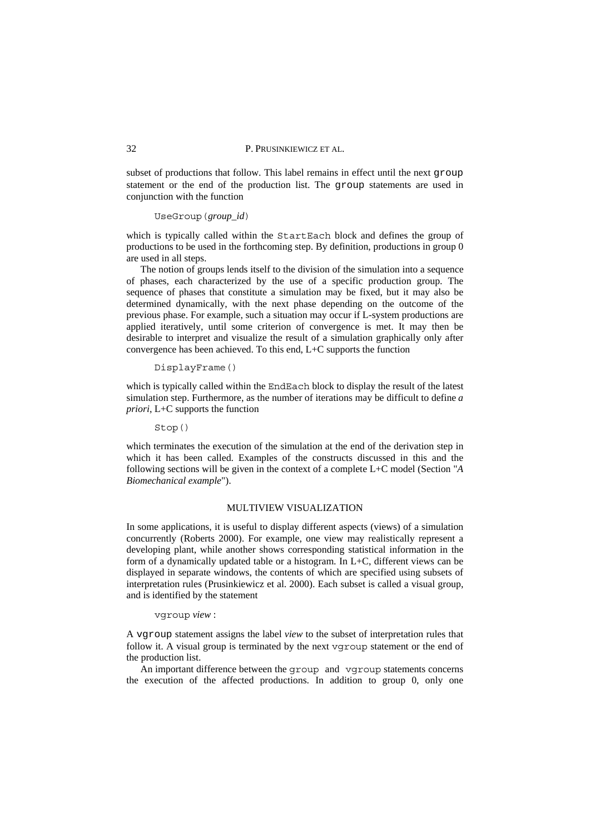subset of productions that follow. This label remains in effect until the next group statement or the end of the production list. The group statements are used in conjunction with the function

#### UseGroup(*group\_id*)

which is typically called within the StartEach block and defines the group of productions to be used in the forthcoming step. By definition, productions in group 0 are used in all steps.

The notion of groups lends itself to the division of the simulation into a sequence of phases, each characterized by the use of a specific production group. The sequence of phases that constitute a simulation may be fixed, but it may also be determined dynamically, with the next phase depending on the outcome of the previous phase. For example, such a situation may occur if L-system productions are applied iteratively, until some criterion of convergence is met. It may then be desirable to interpret and visualize the result of a simulation graphically only after convergence has been achieved. To this end, L+C supports the function

#### DisplayFrame()

which is typically called within the EndEach block to display the result of the latest simulation step. Furthermore, as the number of iterations may be difficult to define *a priori*, L+C supports the function

# Stop()

which terminates the execution of the simulation at the end of the derivation step in which it has been called. Examples of the constructs discussed in this and the following sections will be given in the context of a complete L+C model (Section "*A Biomechanical example*").

# MULTIVIEW VISUALIZATION

In some applications, it is useful to display different aspects (views) of a simulation concurrently (Roberts 2000). For example, one view may realistically represent a developing plant, while another shows corresponding statistical information in the form of a dynamically updated table or a histogram. In L+C, different views can be displayed in separate windows, the contents of which are specified using subsets of interpretation rules (Prusinkiewicz et al. 2000). Each subset is called a visual group, and is identified by the statement

## vgroup *view* :

A vgroup statement assigns the label *view* to the subset of interpretation rules that follow it. A visual group is terminated by the next vgroup statement or the end of the production list.

An important difference between the group and vgroup statements concerns the execution of the affected productions. In addition to group 0, only one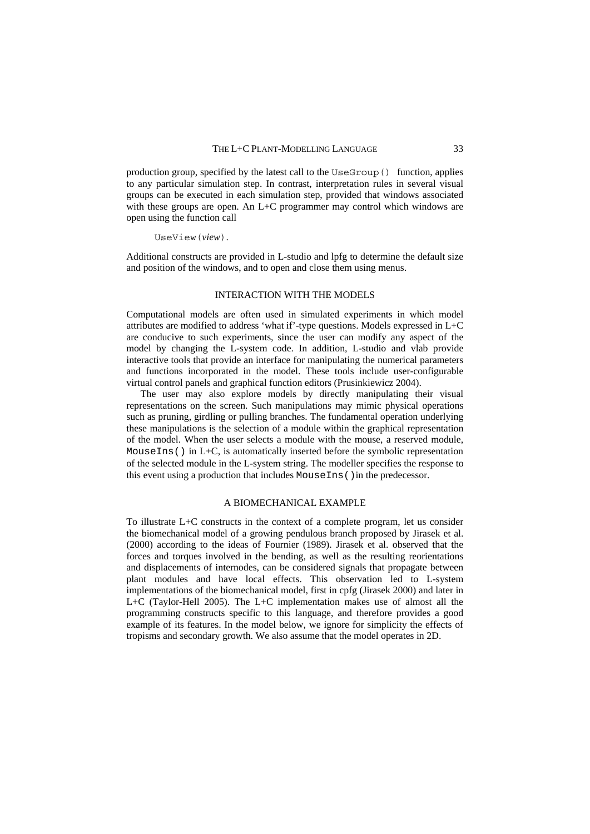production group, specified by the latest call to the UseGroup() function, applies to any particular simulation step. In contrast, interpretation rules in several visual groups can be executed in each simulation step, provided that windows associated with these groups are open. An L+C programmer may control which windows are open using the function call

UseView(*view*).

Additional constructs are provided in L-studio and lpfg to determine the default size and position of the windows, and to open and close them using menus.

# INTERACTION WITH THE MODELS

Computational models are often used in simulated experiments in which model attributes are modified to address 'what if'-type questions. Models expressed in L+C are conducive to such experiments, since the user can modify any aspect of the model by changing the L-system code. In addition, L-studio and vlab provide interactive tools that provide an interface for manipulating the numerical parameters and functions incorporated in the model. These tools include user-configurable virtual control panels and graphical function editors (Prusinkiewicz 2004).

The user may also explore models by directly manipulating their visual representations on the screen. Such manipulations may mimic physical operations such as pruning, girdling or pulling branches. The fundamental operation underlying these manipulations is the selection of a module within the graphical representation of the model. When the user selects a module with the mouse, a reserved module, Mouse Ins() in L+C, is automatically inserted before the symbolic representation of the selected module in the L-system string. The modeller specifies the response to this event using a production that includes MouseIns()in the predecessor.

# A BIOMECHANICAL EXAMPLE

To illustrate L+C constructs in the context of a complete program, let us consider the biomechanical model of a growing pendulous branch proposed by Jirasek et al. (2000) according to the ideas of Fournier (1989). Jirasek et al. observed that the forces and torques involved in the bending, as well as the resulting reorientations and displacements of internodes, can be considered signals that propagate between plant modules and have local effects. This observation led to L-system implementations of the biomechanical model, first in cpfg (Jirasek 2000) and later in L+C (Taylor-Hell 2005). The L+C implementation makes use of almost all the programming constructs specific to this language, and therefore provides a good example of its features. In the model below, we ignore for simplicity the effects of tropisms and secondary growth. We also assume that the model operates in 2D.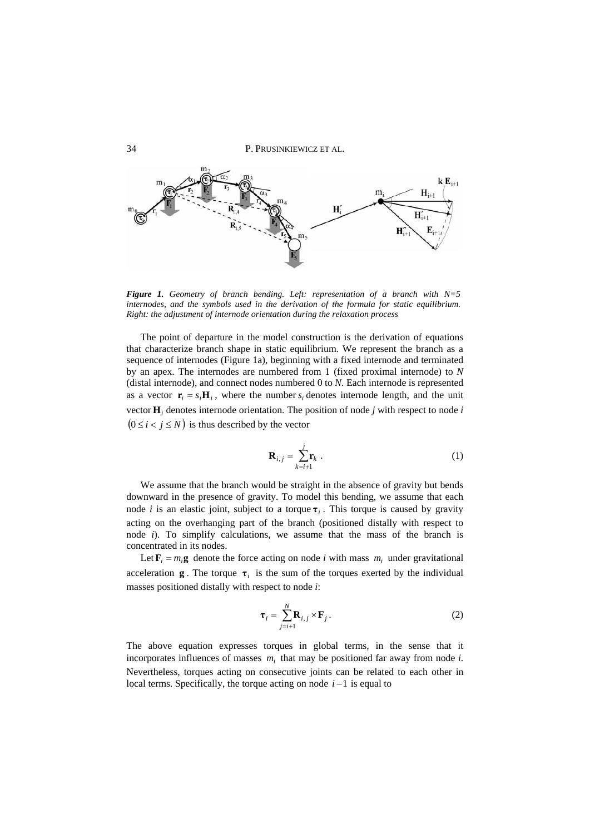

*Figure 1. Geometry of branch bending. Left: representation of a branch with N=5 internodes, and the symbols used in the derivation of the formula for static equilibrium. Right: the adjustment of internode orientation during the relaxation process* 

The point of departure in the model construction is the derivation of equations that characterize branch shape in static equilibrium. We represent the branch as a sequence of internodes (Figure 1a), beginning with a fixed internode and terminated by an apex. The internodes are numbered from 1 (fixed proximal internode) to *N* (distal internode), and connect nodes numbered 0 to *N*. Each internode is represented as a vector  $\mathbf{r}_i = s_i \mathbf{H}_i$ , where the number  $s_i$  denotes internode length, and the unit vector  $\mathbf{H}_i$  denotes internode orientation. The position of node *j* with respect to node *i*  $(0 \le i < j \le N)$  is thus described by the vector

$$
\mathbf{R}_{i,j} = \sum_{k=i+1}^{j} \mathbf{r}_k \tag{1}
$$

We assume that the branch would be straight in the absence of gravity but bends downward in the presence of gravity. To model this bending, we assume that each node *i* is an elastic joint, subject to a torque  $\tau_i$ . This torque is caused by gravity acting on the overhanging part of the branch (positioned distally with respect to node *i*). To simplify calculations, we assume that the mass of the branch is concentrated in its nodes.

Let  $\mathbf{F}_i = m_i \mathbf{g}$  denote the force acting on node *i* with mass  $m_i$  under gravitational acceleration **g**. The torque  $\tau$ <sub>*i*</sub> is the sum of the torques exerted by the individual masses positioned distally with respect to node *i*:

$$
\boldsymbol{\tau}_i = \sum_{j=i+1}^N \mathbf{R}_{i,j} \times \mathbf{F}_j. \tag{2}
$$

The above equation expresses torques in global terms, in the sense that it incorporates influences of masses  $m_i$  that may be positioned far away from node *i*. Nevertheless, torques acting on consecutive joints can be related to each other in local terms. Specifically, the torque acting on node  $i-1$  is equal to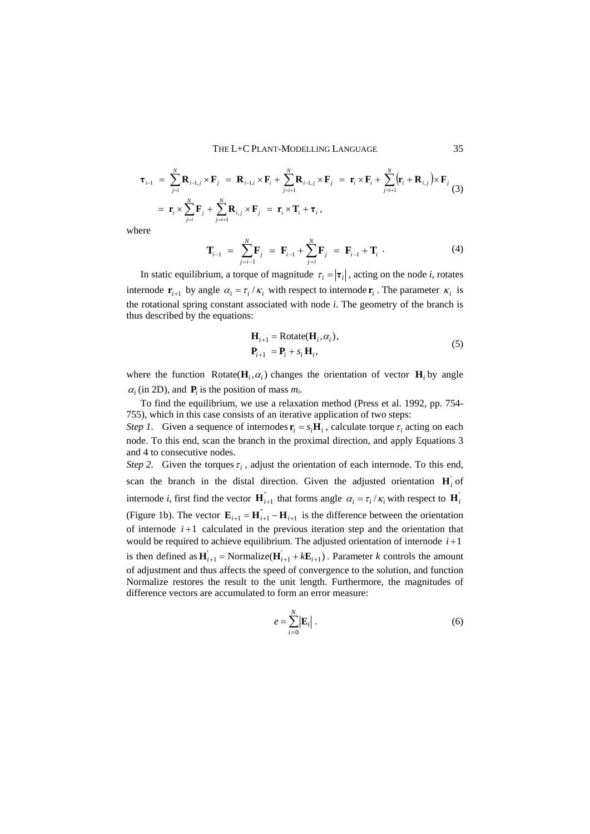$$
\begin{split}\n\boldsymbol{\tau}_{i-1} &= \sum_{j=i}^{N} \mathbf{R}_{i-1,j} \times \mathbf{F}_{j} = \mathbf{R}_{i-1,i} \times \mathbf{F}_{i} + \sum_{j=i+1}^{N} \mathbf{R}_{i-1,j} \times \mathbf{F}_{j} = \mathbf{r}_{i} \times \mathbf{F}_{i} + \sum_{j=i+1}^{N} (\mathbf{r}_{i} + \mathbf{R}_{i,j}) \times \mathbf{F}_{j} \\
&= \mathbf{r}_{i} \times \sum_{j=i}^{N} \mathbf{F}_{j} + \sum_{j=i+1}^{N} \mathbf{R}_{i,j} \times \mathbf{F}_{j} = \mathbf{r}_{i} \times \mathbf{T}_{i} + \boldsymbol{\tau}_{i}\,,\n\end{split}
$$

where

$$
\mathbf{T}_{i-1} = \sum_{j=i-1}^{N} \mathbf{F}_{j} = \mathbf{F}_{i-1} + \sum_{j=i}^{N} \mathbf{F}_{j} = \mathbf{F}_{i-1} + \mathbf{T}_{i} \tag{4}
$$

In static equilibrium, a torque of magnitude  $\tau_i = |\tau_i|$ , acting on the node *i*, rotates internode  $\mathbf{r}_{i+1}$  by angle  $\alpha_i = \tau_i / \kappa_i$  with respect to internode  $\mathbf{r}_i$ . The parameter  $\kappa_i$  is the rotational spring constant associated with node *i*. The geometry of the branch is thus described by the equations:

$$
\mathbf{H}_{i+1} = \text{Rotate}(\mathbf{H}_i, \alpha_i),
$$
  
\n
$$
\mathbf{P}_{i+1} = \mathbf{P}_i + s_i \mathbf{H}_i,
$$
\n(5)

where the function Rotate( $H_i$ ,  $\alpha$ <sup>*i*</sup>) changes the orientation of vector  $H_i$  by angle  $\alpha_i$  (in 2D), and **P**<sub>*i*</sub> is the position of mass  $m_i$ .

To find the equilibrium, we use a relaxation method (Press et al. 1992, pp. 754- 755), which in this case consists of an iterative application of two steps: *Step 1*. Given a sequence of internodes  $\mathbf{r}_i = s_i \mathbf{H}_i$ , calculate torque  $\tau_i$  acting on each node. To this end, scan the branch in the proximal direction, and apply Equations 3 and 4 to consecutive nodes.

*Step 2.* Given the torques  $\tau_i$ , adjust the orientation of each internode. To this end, scan the branch in the distal direction. Given the adjusted orientation  $H_i$  of internode *i*, first find the vector  $\mathbf{H}_{i+1}^{\dagger}$  that forms angle  $\alpha_i = \tau_i / \kappa_i$  with respect to  $\mathbf{H}_i^{\dagger}$ (Figure 1b). The vector  $\mathbf{E}_{i+1} = \mathbf{H}_{i+1}^{\dagger} - \mathbf{H}_{i+1}$  is the difference between the orientation of internode  $i+1$  calculated in the previous iteration step and the orientation that would be required to achieve equilibrium. The adjusted orientation of internode  $i+1$ is then defined as  $\mathbf{H}_{i+1} = \text{Normalize}(\mathbf{H}_{i+1} + k\mathbf{E}_{i+1})$ . Parameter *k* controls the amount of adjustment and thus affects the speed of convergence to the solution, and function Normalize restores the result to the unit length. Furthermore, the magnitudes of difference vectors are accumulated to form an error measure:

$$
e = \sum_{i=0}^{N} \left| \mathbf{E}_i \right| \,. \tag{6}
$$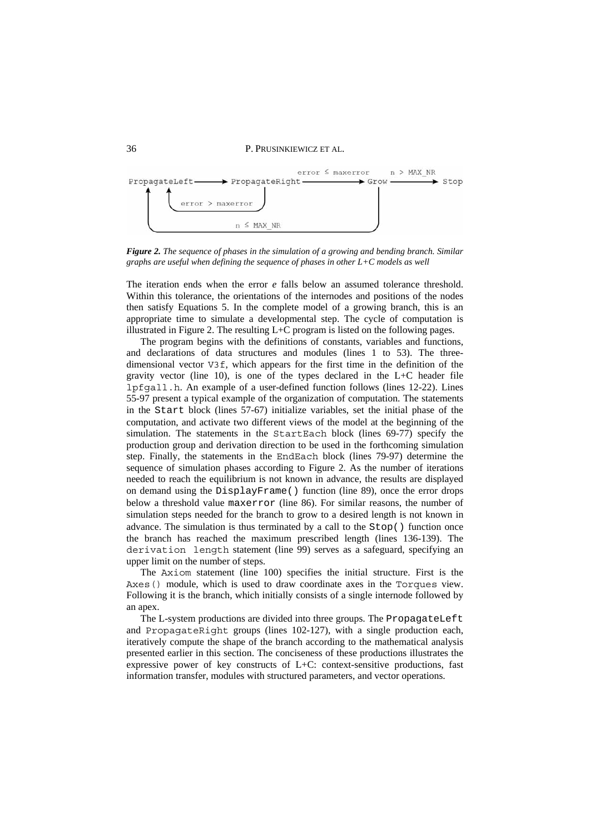

*Figure 2. The sequence of phases in the simulation of a growing and bending branch. Similar graphs are useful when defining the sequence of phases in other L+C models as well* 

The iteration ends when the error *e* falls below an assumed tolerance threshold. Within this tolerance, the orientations of the internodes and positions of the nodes then satisfy Equations 5. In the complete model of a growing branch, this is an appropriate time to simulate a developmental step. The cycle of computation is illustrated in Figure 2. The resulting L+C program is listed on the following pages.

The program begins with the definitions of constants, variables and functions, and declarations of data structures and modules (lines 1 to 53). The threedimensional vector V3f, which appears for the first time in the definition of the gravity vector (line  $10$ ), is one of the types declared in the L+C header file lpfgall.h. An example of a user-defined function follows (lines 12-22). Lines 55-97 present a typical example of the organization of computation. The statements in the Start block (lines 57-67) initialize variables, set the initial phase of the computation, and activate two different views of the model at the beginning of the simulation. The statements in the StartEach block (lines 69-77) specify the production group and derivation direction to be used in the forthcoming simulation step. Finally, the statements in the EndEach block (lines 79-97) determine the sequence of simulation phases according to Figure 2. As the number of iterations needed to reach the equilibrium is not known in advance, the results are displayed on demand using the DisplayFrame() function (line 89), once the error drops below a threshold value maxerror (line 86). For similar reasons, the number of simulation steps needed for the branch to grow to a desired length is not known in advance. The simulation is thus terminated by a call to the Stop() function once the branch has reached the maximum prescribed length (lines 136-139). The derivation length statement (line 99) serves as a safeguard, specifying an upper limit on the number of steps.

The Axiom statement (line 100) specifies the initial structure. First is the Axes() module, which is used to draw coordinate axes in the Torques view. Following it is the branch, which initially consists of a single internode followed by an apex.

The L-system productions are divided into three groups. The PropagateLeft and PropagateRight groups (lines 102-127), with a single production each, iteratively compute the shape of the branch according to the mathematical analysis presented earlier in this section. The conciseness of these productions illustrates the expressive power of key constructs of L+C: context-sensitive productions, fast information transfer, modules with structured parameters, and vector operations.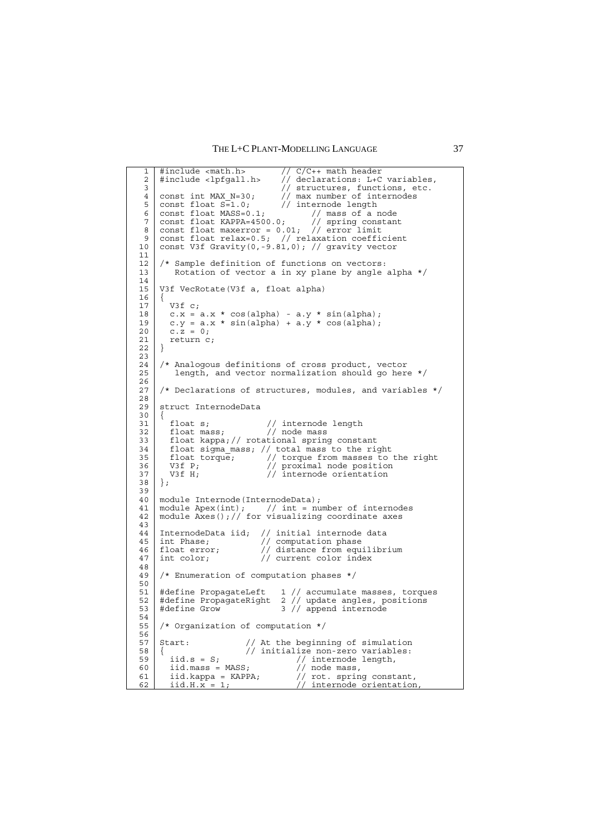THE L+C PLANT-MODELLING LANGUAGE 37

```
1
 2
 3
 4
 5
 6
 7
 8
 9
10
11
12
13
14
15
16
17
18
19
2021
22
23
24
25
26
27
28
29
30
31
3233
34
35
36
37
38
39
40
41
42
43
44
45
46
47
48
49
50
51
52
53
54
55
56
57
58
59
60
61
62
    #include <math.h> // C/C++ math header 
    #include <lpfgall.h> // declarations: L+C variables, 
     // structures, functions, etc.
    const int MAX N=30; // max number of internodes
    const float S=1.0; // internode length
    const float MASS=0.1; // mass of a node 
    const float KAPPA=4500.0; // spring constant 
    const float maxerror = 0.01; // error limit
    const float relax=0.5; // relaxation coefficient 
    const V3f Gravity(0,-9.81,0); // gravity vector 
    /* Sample definition of functions on vectors: 
       Rotation of vector a in xy plane by angle alpha */V3f VecRotate(V3f a, float alpha)
    {
       V3f c; 
    c.x = a.x * cos(alpha) - a.y * sin(alpha);
    c.y = a.x * sin(alpha) + a.y * cos(alpha);
      C. \overline{z} = 0;
       return c; 
    }
    /* Analogous definitions of cross product, vector 
        length, and vector normalization should go here */ 
    /* Declarations of structures, modules, and variables */ 
    struct InternodeData
    {
    float s; \frac{1}{2} // internode length
     float mass; // node mass 
       float kappa; // rotational spring constant 
       float sigma_mass; // total mass to the right
     float torque; // torque from masses to the right 
    V3f P; \frac{1}{\sqrt{2}} // proximal node position
    V3f H; \frac{1}{\sqrt{2}} internode orientation
    };
    module Internode(InternodeData); 
    module Apex(int); // int = number of internodes 
    module Axes(); // for visualizing coordinate axes 
   InternodeData iid; // initial internode data<br>int Phase; // computation phase
    int Phase; // computation phase 
    float error; // distance from equilibrium 
    int color; // current color index 
    /* Enumeration of computation phases */ 
    #define PropagateLeft 1 // accumulate masses, torques 
    #define PropagateRight 2 // update angles, positions 
    #define Grow 3 // append internode 
    /* Organization of computation */ 
    Start: // At the beginning of simulation 
    { // initialize non-zero variables: 
      iid.s = S; // internode length,
      iid.mass = MASS;<br>iid.kappa = KAPPA;
      iid.mass = MASS;<br>iid.mass = MASS;<br>iid.kappa = KAPPA; // rot. spring constant,<br>iid.H.x = 1; // internode orientation
                                \frac{1}{1} internode orientation,
```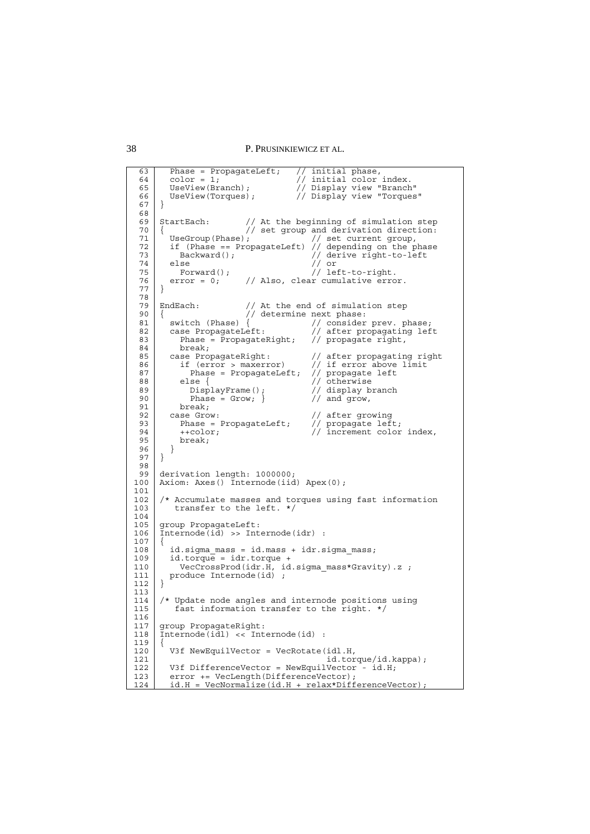```
6364
 65
 66
 67
 68
 69
 70
 71
 72
 73
 74
 75
 76
 77
 78
 79
 90
 81
 82
 83
 84
 85
 86
 87
 88
 89
 9091
 92
 93
 9495
 96
 97
 98
 99
100
101
102
103
104
105
106
107
108
109
110
111
112
113
114
115
116
117
118
119
120
121
122
123
124
        Phase = PropagateLeft;<br>color = 1;
      color = 1; // initial color index.
       UseView(Branch); // Display view "Branch" 
       UseView(Torques); // Display view "Torques" 
      }
     StartEach: // At the beginning of simulation step 
        // set group and derivation direction:<br>UseGroup(Phase); // set current group,
       UseGroup(Phase); // set current group, 
        if (Phase == PropagateLeft)<br>Backward();
      Backward(); \sqrt{2} // derive right-to-left
       else // or 
      Forward(); \frac{1}{2} // left-to-right.
        error = 0; // Also, clear cumulative error.
     }
     EndEach: // At the end of simulation step
     {<br> // At the end of simulat<br> // determine next phase:<br> witch (Phase) { // consider
      switch (Phase) { \sqrt{2} // consider prev. phase;
       case PropagateLeft: // after propagating left 
          Phase = \text{PropagateRight}; // propagate right,
        break;<br>case PropagateRight:
       case PropagateRight: // after propagating right 
       if (error > maxerror) // if error above limit 
         if (error > maxerror)<br>
Phase = PropagateLeft;<br>
else {
                                       % in the discover <br>// propagate left<br>// otherwise
                                       // display branch<br>// and grow,
            \text{DisplayFrame}();<br>Phase = Grow; }
        break;<br>case Grow:
                                       // after growing
          Phase = PropagateLeft;<br>++color:
                                       // propagate left;<br>// increment color index,
           break; 
         } 
     }
     derivation length: 1000000; 
     Axiom: Axes() Internode(iid) Apex(0);
      /* Accumulate masses and torques using fast information 
          transfer to the left. */ 
     group PropagateLeft: 
      Internode(id) >> Internode(idr) :
      {
        id.\text{sigma} mass = id.\text{mass} + idr.\text{sigma} mass;
        id.torque = idr.torque + VecCrossProd(idr.H, id.sigma_mass*Gravity).z ; 
       produce Internode(id) ; 
      }
     /* Update node angles and internode positions using
          fast information transfer to the right. */
     group PropagateRight: 
      Internode(idl) << Internode(id) : 
      {
        V3f NewEquilVector = VecRotate(idl.H,
                                            id.torque/id.kappa); 
        V3f DifferenceVector = NewEquilVector - id.H;
       error += VecLength(DifferenceVector); 
       id.H = VecNormalize(id.H + relax*DifferenceVector);
```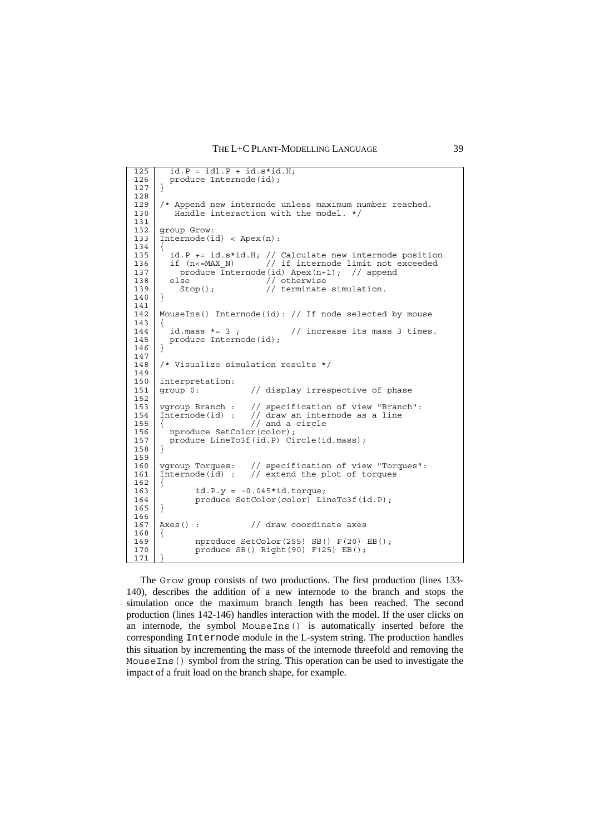```
125
126
127
128
129
130
131
132
133
134
135
136
137
138
139
140
141
142
143
144
145
146
147
148
149
150
151
152
153
154
155
156
157
158
159
160
161
162
163
164
165
166
167
168
169
170
171
       id. P = idl. P + id.s*id.H;
       produce Internode(id);
     }
     /* Append new internode unless maximum number reached.
        Handle interaction with the model. */
     group Grow: 
     Internode(id) < Apex(n): 
     {
     id.P += id.s*id.H; // Calculate new internode position if (n<=MAX_N) // if internode limit not exceeded 
       produce \overline{Internode}(id) Apex(n+1); // append<br>else // otherwise
         else // otherwise<br>Stop(); // terminate
                           // terminate simulation.
     }
     MouseIns() Internode(id): // If node selected by mouse 
     {
       id.mass * = 3; // increase its mass 3 times.
       produce Internode(id);
     }
     /* Visualize simulation results */ 
     interpretation:
     group 0: // display irrespective of phase
     vgroup Branch : // specification of view "Branch": 
     Internode(id) : // specification of view "Branch"
                        \frac{1}{2} and a circle
       nproduce SetColor(color);
        produce LineTo3f(id.P) Circle(id.mass); 
     }
     vgroup Torques: // specification of view "Torques": 
     Internode(id) : // extend the plot of torques 
     {
              id.P.y = -0.045*id.torque; 
              produce SetColor(color) LineTo3f(id.P); 
     }
     Axes() : // draw coordinate axes
     {
              nproduce SetColor(255) SB() F(20) EB(); 
             produce SB() Right(90) F(25) EB();
     }
```
The Grow group consists of two productions. The first production (lines 133- 140), describes the addition of a new internode to the branch and stops the simulation once the maximum branch length has been reached. The second production (lines 142-146) handles interaction with the model. If the user clicks on an internode, the symbol MouseIns() is automatically inserted before the corresponding Internode module in the L-system string. The production handles this situation by incrementing the mass of the internode threefold and removing the Mouse Ins () symbol from the string. This operation can be used to investigate the impact of a fruit load on the branch shape, for example.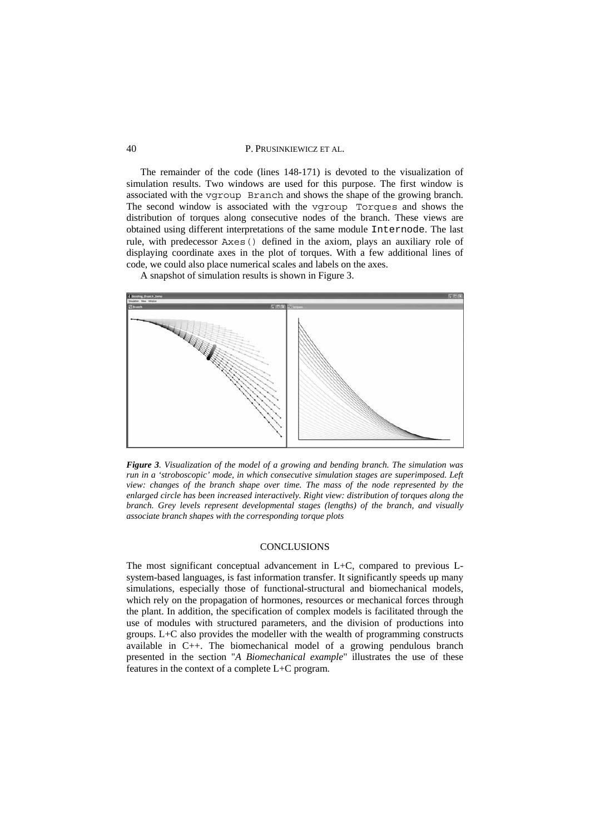The remainder of the code (lines 148-171) is devoted to the visualization of simulation results. Two windows are used for this purpose. The first window is associated with the vgroup Branch and shows the shape of the growing branch. The second window is associated with the vgroup Torques and shows the distribution of torques along consecutive nodes of the branch. These views are obtained using different interpretations of the same module Internode. The last rule, with predecessor Axes() defined in the axiom, plays an auxiliary role of displaying coordinate axes in the plot of torques. With a few additional lines of code, we could also place numerical scales and labels on the axes.

A snapshot of simulation results is shown in Figure 3.



*Figure 3. Visualization of the model of a growing and bending branch. The simulation was run in a 'stroboscopic' mode, in which consecutive simulation stages are superimposed. Left view: changes of the branch shape over time. The mass of the node represented by the enlarged circle has been increased interactively. Right view: distribution of torques along the branch. Grey levels represent developmental stages (lengths) of the branch, and visually associate branch shapes with the corresponding torque plots* 

# **CONCLUSIONS**

The most significant conceptual advancement in L+C, compared to previous Lsystem-based languages, is fast information transfer. It significantly speeds up many simulations, especially those of functional-structural and biomechanical models, which rely on the propagation of hormones, resources or mechanical forces through the plant. In addition, the specification of complex models is facilitated through the use of modules with structured parameters, and the division of productions into groups. L+C also provides the modeller with the wealth of programming constructs available in C++. The biomechanical model of a growing pendulous branch presented in the section "*A Biomechanical example*" illustrates the use of these features in the context of a complete L+C program.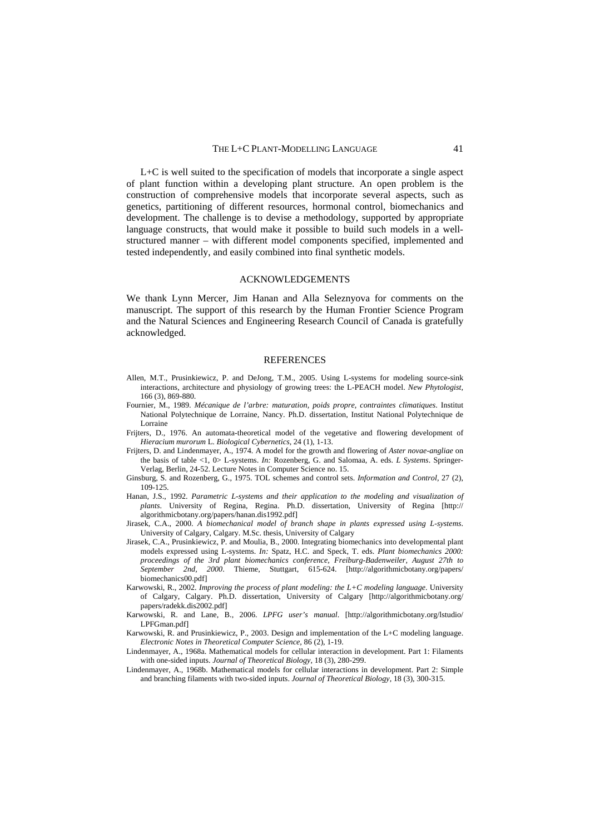L+C is well suited to the specification of models that incorporate a single aspect of plant function within a developing plant structure. An open problem is the construction of comprehensive models that incorporate several aspects, such as genetics, partitioning of different resources, hormonal control, biomechanics and development. The challenge is to devise a methodology, supported by appropriate language constructs, that would make it possible to build such models in a wellstructured manner – with different model components specified, implemented and tested independently, and easily combined into final synthetic models.

### ACKNOWLEDGEMENTS

We thank Lynn Mercer, Jim Hanan and Alla Seleznyova for comments on the manuscript. The support of this research by the Human Frontier Science Program and the Natural Sciences and Engineering Research Council of Canada is gratefully acknowledged.

#### REFERENCES

- Allen, M.T., Prusinkiewicz, P. and DeJong, T.M., 2005. Using L-systems for modeling source-sink interactions, architecture and physiology of growing trees: the L-PEACH model. *New Phytologist,* 166 (3), 869-880.
- Fournier, M., 1989. *Mécanique de l'arbre: maturation, poids propre, contraintes climatiques*. Institut National Polytechnique de Lorraine, Nancy. Ph.D. dissertation, Institut National Polytechnique de Lorraine
- Frijters, D., 1976. An automata-theoretical model of the vegetative and flowering development of *Hieracium murorum* L. *Biological Cybernetics,* 24 (1), 1-13.
- Frijters, D. and Lindenmayer, A., 1974. A model for the growth and flowering of *Aster novae-angliae* on the basis of table <1, 0> L-systems. *In:* Rozenberg, G. and Salomaa, A. eds. *L Systems*. Springer-Verlag, Berlin, 24-52. Lecture Notes in Computer Science no. 15.
- Ginsburg, S. and Rozenberg, G., 1975. TOL schemes and control sets. *Information and Control,* 27 (2), 109-125.
- Hanan, J.S., 1992. *Parametric L-systems and their application to the modeling and visualization of plants*. University of Regina, Regina. Ph.D. dissertation, University of Regina [http:// algorithmicbotany.org/papers/hanan.dis1992.pdf]
- Jirasek, C.A., 2000. *A biomechanical model of branch shape in plants expressed using L-systems*. University of Calgary, Calgary. M.Sc. thesis, University of Calgary
- Jirasek, C.A., Prusinkiewicz, P. and Moulia, B., 2000. Integrating biomechanics into developmental plant models expressed using L-systems. *In:* Spatz, H.C. and Speck, T. eds. *Plant biomechanics 2000: proceedings of the 3rd plant biomechanics conference, Freiburg-Badenweiler, August 27th to September 2nd, 2000*. Thieme, Stuttgart, 615-624. [http://algorithmicbotany.org/papers/ biomechanics00.pdf]
- Karwowski, R., 2002. *Improving the process of plant modeling: the L+C modeling language*. University of Calgary, Calgary. Ph.D. dissertation, University of Calgary [http://algorithmicbotany.org/ papers/radekk.dis2002.pdf]
- Karwowski, R. and Lane, B., 2006. *LPFG user's manual*. [http://algorithmicbotany.org/lstudio/ LPFGman.pdf]
- Karwowski, R. and Prusinkiewicz, P., 2003. Design and implementation of the L+C modeling language. *Electronic Notes in Theoretical Computer Science,* 86 (2), 1-19.
- Lindenmayer, A., 1968a. Mathematical models for cellular interaction in development. Part 1: Filaments with one-sided inputs. *Journal of Theoretical Biology,* 18 (3), 280-299.
- Lindenmayer, A., 1968b. Mathematical models for cellular interactions in development. Part 2: Simple and branching filaments with two-sided inputs. *Journal of Theoretical Biology,* 18 (3), 300-315.